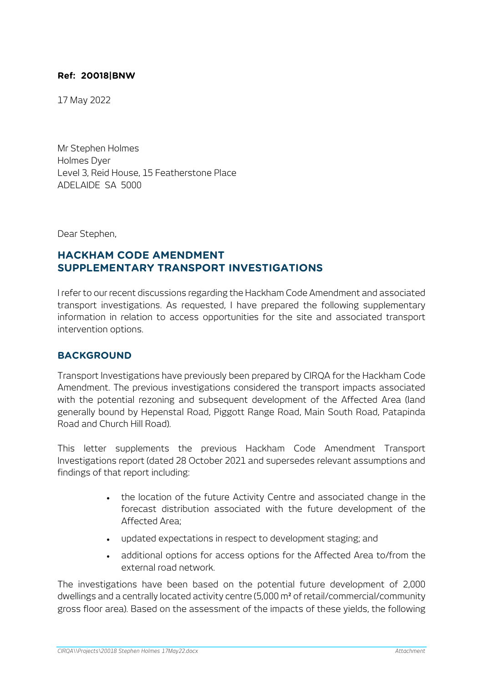#### **Ref: 20018|BNW**

17 May 2022

Mr Stephen Holmes Holmes Dyer Level 3, Reid House, 15 Featherstone Place ADELAIDE SA 5000

Dear Stephen,

# **HACKHAM CODE AMENDMENT SUPPLEMENTARY TRANSPORT INVESTIGATIONS**

I refer to our recent discussions regarding the Hackham Code Amendment and associated transport investigations. As requested, I have prepared the following supplementary information in relation to access opportunities for the site and associated transport intervention options.

#### **BACKGROUND**

Transport Investigations have previously been prepared by CIRQA for the Hackham Code Amendment. The previous investigations considered the transport impacts associated with the potential rezoning and subsequent development of the Affected Area (land generally bound by Hepenstal Road, Piggott Range Road, Main South Road, Patapinda Road and Church Hill Road).

This letter supplements the previous Hackham Code Amendment Transport Investigations report (dated 28 October 2021 and supersedes relevant assumptions and findings of that report including:

- the location of the future Activity Centre and associated change in the forecast distribution associated with the future development of the Affected Area;
- updated expectations in respect to development staging; and
- additional options for access options for the Affected Area to/from the external road network.

The investigations have been based on the potential future development of 2,000 dwellings and a centrally located activity centre (5,000 m² of retail/commercial/community gross floor area). Based on the assessment of the impacts of these yields, the following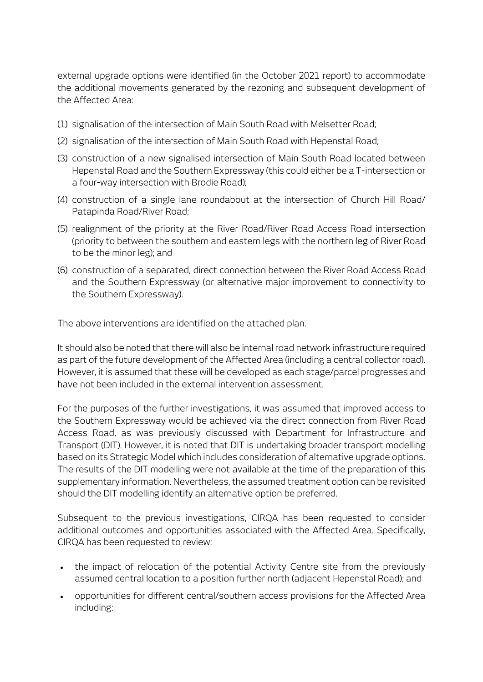external upgrade options were identified (in the October 2021 report) to accommodate the additional movements generated by the rezoning and subsequent development of the Affected Area:

- (1) signalisation of the intersection of Main South Road with Melsetter Road;
- (2) signalisation of the intersection of Main South Road with Hepenstal Road;
- (3) construction of a new signalised intersection of Main South Road located between Hepenstal Road and the Southern Expressway (this could either be a T-intersection or a four-way intersection with Brodie Road);
- (4) construction of a single lane roundabout at the intersection of Church Hill Road/ Patapinda Road/River Road;
- (5) realignment of the priority at the River Road/River Road Access Road intersection (priority to between the southern and eastern legs with the northern leg of River Road to be the minor leg); and
- (6) construction of a separated, direct connection between the River Road Access Road and the Southern Expressway (or alternative major improvement to connectivity to the Southern Expressway).

The above interventions are identified on the attached plan.

It should also be noted that there will also be internal road network infrastructure required as part of the future development of the Affected Area (including a central collector road). However, it is assumed that these will be developed as each stage/parcel progresses and have not been included in the external intervention assessment.

For the purposes of the further investigations, it was assumed that improved access to the Southern Expressway would be achieved via the direct connection from River Road Access Road, as was previously discussed with Department for Infrastructure and Transport (DIT). However, it is noted that DIT is undertaking broader transport modelling based on its Strategic Model which includes consideration of alternative upgrade options. The results of the DIT modelling were not available at the time of the preparation of this supplementary information. Nevertheless, the assumed treatment option can be revisited should the DIT modelling identify an alternative option be preferred.

Subsequent to the previous investigations, CIRQA has been requested to consider additional outcomes and opportunities associated with the Affected Area. Specifically, CIRQA has been requested to review:

- the impact of relocation of the potential Activity Centre site from the previously assumed central location to a position further north (adjacent Hepenstal Road); and
- opportunities for different central/southern access provisions for the Affected Area including: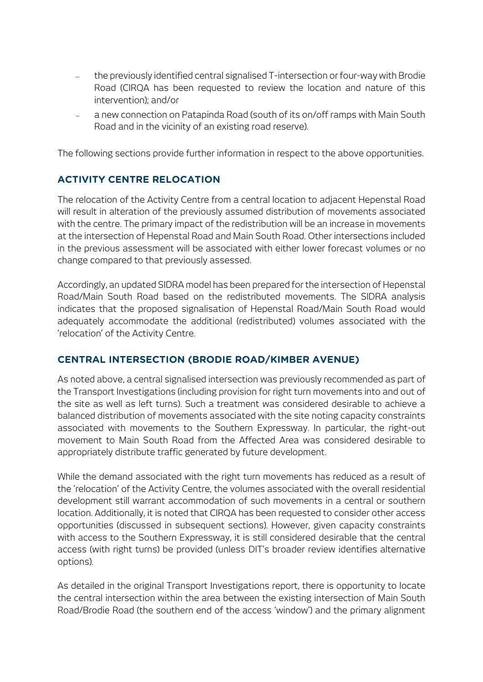- − the previously identified central signalised T-intersection or four-way with Brodie Road (CIRQA has been requested to review the location and nature of this intervention); and/or
- − a new connection on Patapinda Road (south of its on/off ramps with Main South Road and in the vicinity of an existing road reserve).

The following sections provide further information in respect to the above opportunities.

## **ACTIVITY CENTRE RELOCATION**

The relocation of the Activity Centre from a central location to adjacent Hepenstal Road will result in alteration of the previously assumed distribution of movements associated with the centre. The primary impact of the redistribution will be an increase in movements at the intersection of Hepenstal Road and Main South Road. Other intersections included in the previous assessment will be associated with either lower forecast volumes or no change compared to that previously assessed.

Accordingly, an updated SIDRA model has been prepared for the intersection of Hepenstal Road/Main South Road based on the redistributed movements. The SIDRA analysis indicates that the proposed signalisation of Hepenstal Road/Main South Road would adequately accommodate the additional (redistributed) volumes associated with the 'relocation' of the Activity Centre.

## **CENTRAL INTERSECTION (BRODIE ROAD/KIMBER AVENUE)**

As noted above, a central signalised intersection was previously recommended as part of the Transport Investigations (including provision for right turn movements into and out of the site as well as left turns). Such a treatment was considered desirable to achieve a balanced distribution of movements associated with the site noting capacity constraints associated with movements to the Southern Expressway. In particular, the right-out movement to Main South Road from the Affected Area was considered desirable to appropriately distribute traffic generated by future development.

While the demand associated with the right turn movements has reduced as a result of the 'relocation' of the Activity Centre, the volumes associated with the overall residential development still warrant accommodation of such movements in a central or southern location. Additionally, it is noted that CIRQA has been requested to consider other access opportunities (discussed in subsequent sections). However, given capacity constraints with access to the Southern Expressway, it is still considered desirable that the central access (with right turns) be provided (unless DIT's broader review identifies alternative options).

As detailed in the original Transport Investigations report, there is opportunity to locate the central intersection within the area between the existing intersection of Main South Road/Brodie Road (the southern end of the access 'window') and the primary alignment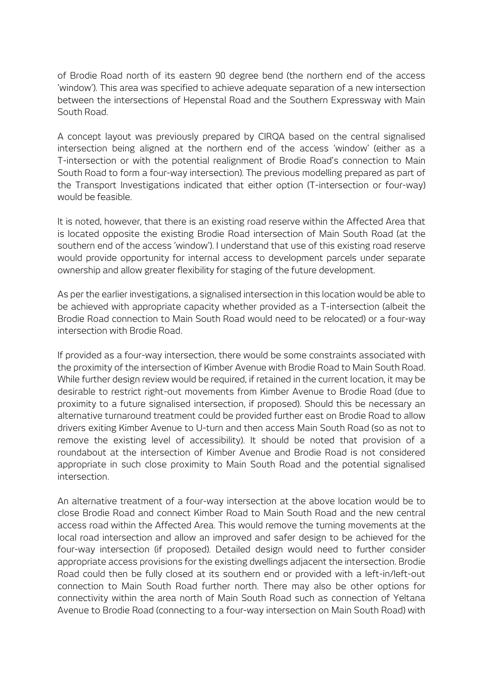of Brodie Road north of its eastern 90 degree bend (the northern end of the access 'window'). This area was specified to achieve adequate separation of a new intersection between the intersections of Hepenstal Road and the Southern Expressway with Main South Road.

A concept layout was previously prepared by CIRQA based on the central signalised intersection being aligned at the northern end of the access 'window' (either as a T-intersection or with the potential realignment of Brodie Road's connection to Main South Road to form a four-way intersection). The previous modelling prepared as part of the Transport Investigations indicated that either option (T-intersection or four-way) would be feasible.

It is noted, however, that there is an existing road reserve within the Affected Area that is located opposite the existing Brodie Road intersection of Main South Road (at the southern end of the access 'window'). I understand that use of this existing road reserve would provide opportunity for internal access to development parcels under separate ownership and allow greater flexibility for staging of the future development.

As per the earlier investigations, a signalised intersection in this location would be able to be achieved with appropriate capacity whether provided as a T-intersection (albeit the Brodie Road connection to Main South Road would need to be relocated) or a four-way intersection with Brodie Road.

If provided as a four-way intersection, there would be some constraints associated with the proximity of the intersection of Kimber Avenue with Brodie Road to Main South Road. While further design review would be required, if retained in the current location, it may be desirable to restrict right-out movements from Kimber Avenue to Brodie Road (due to proximity to a future signalised intersection, if proposed). Should this be necessary an alternative turnaround treatment could be provided further east on Brodie Road to allow drivers exiting Kimber Avenue to U-turn and then access Main South Road (so as not to remove the existing level of accessibility). It should be noted that provision of a roundabout at the intersection of Kimber Avenue and Brodie Road is not considered appropriate in such close proximity to Main South Road and the potential signalised intersection.

An alternative treatment of a four-way intersection at the above location would be to close Brodie Road and connect Kimber Road to Main South Road and the new central access road within the Affected Area. This would remove the turning movements at the local road intersection and allow an improved and safer design to be achieved for the four-way intersection (if proposed). Detailed design would need to further consider appropriate access provisions for the existing dwellings adjacent the intersection. Brodie Road could then be fully closed at its southern end or provided with a left-in/left-out connection to Main South Road further north. There may also be other options for connectivity within the area north of Main South Road such as connection of Yeltana Avenue to Brodie Road (connecting to a four-way intersection on Main South Road) with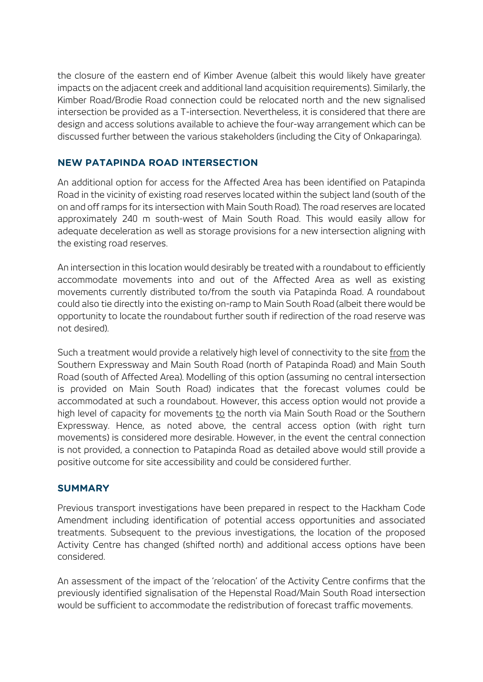the closure of the eastern end of Kimber Avenue (albeit this would likely have greater impacts on the adjacent creek and additional land acquisition requirements). Similarly, the Kimber Road/Brodie Road connection could be relocated north and the new signalised intersection be provided as a T-intersection. Nevertheless, it is considered that there are design and access solutions available to achieve the four-way arrangement which can be discussed further between the various stakeholders (including the City of Onkaparinga).

### **NEW PATAPINDA ROAD INTERSECTION**

An additional option for access for the Affected Area has been identified on Patapinda Road in the vicinity of existing road reserves located within the subject land (south of the on and off ramps for its intersection with Main South Road). The road reserves are located approximately 240 m south-west of Main South Road. This would easily allow for adequate deceleration as well as storage provisions for a new intersection aligning with the existing road reserves.

An intersection in this location would desirably be treated with a roundabout to efficiently accommodate movements into and out of the Affected Area as well as existing movements currently distributed to/from the south via Patapinda Road. A roundabout could also tie directly into the existing on-ramp to Main South Road (albeit there would be opportunity to locate the roundabout further south if redirection of the road reserve was not desired).

Such a treatment would provide a relatively high level of connectivity to the site from the Southern Expressway and Main South Road (north of Patapinda Road) and Main South Road (south of Affected Area). Modelling of this option (assuming no central intersection is provided on Main South Road) indicates that the forecast volumes could be accommodated at such a roundabout. However, this access option would not provide a high level of capacity for movements to the north via Main South Road or the Southern Expressway. Hence, as noted above, the central access option (with right turn movements) is considered more desirable. However, in the event the central connection is not provided, a connection to Patapinda Road as detailed above would still provide a positive outcome for site accessibility and could be considered further.

#### **SUMMARY**

Previous transport investigations have been prepared in respect to the Hackham Code Amendment including identification of potential access opportunities and associated treatments. Subsequent to the previous investigations, the location of the proposed Activity Centre has changed (shifted north) and additional access options have been considered.

An assessment of the impact of the 'relocation' of the Activity Centre confirms that the previously identified signalisation of the Hepenstal Road/Main South Road intersection would be sufficient to accommodate the redistribution of forecast traffic movements.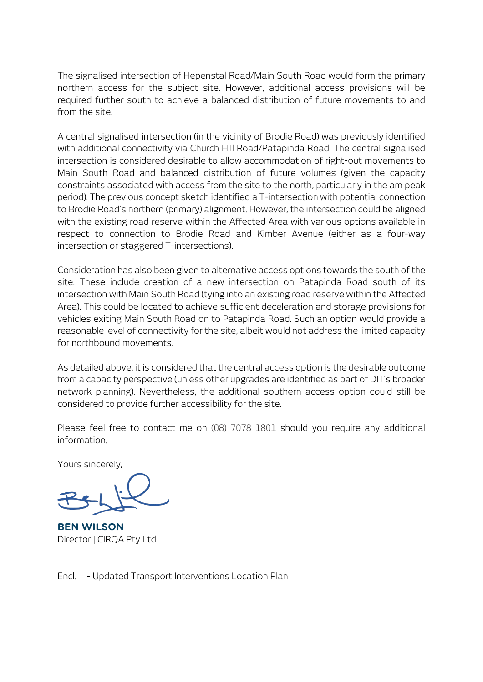The signalised intersection of Hepenstal Road/Main South Road would form the primary northern access for the subject site. However, additional access provisions will be required further south to achieve a balanced distribution of future movements to and from the site.

A central signalised intersection (in the vicinity of Brodie Road) was previously identified with additional connectivity via Church Hill Road/Patapinda Road. The central signalised intersection is considered desirable to allow accommodation of right-out movements to Main South Road and balanced distribution of future volumes (given the capacity constraints associated with access from the site to the north, particularly in the am peak period). The previous concept sketch identified a T-intersection with potential connection to Brodie Road's northern (primary) alignment. However, the intersection could be aligned with the existing road reserve within the Affected Area with various options available in respect to connection to Brodie Road and Kimber Avenue (either as a four-way intersection or staggered T-intersections).

Consideration has also been given to alternative access options towards the south of the site. These include creation of a new intersection on Patapinda Road south of its intersection with Main South Road (tying into an existing road reserve within the Affected Area). This could be located to achieve sufficient deceleration and storage provisions for vehicles exiting Main South Road on to Patapinda Road. Such an option would provide a reasonable level of connectivity for the site, albeit would not address the limited capacity for northbound movements.

As detailed above, it is considered that the central access option is the desirable outcome from a capacity perspective (unless other upgrades are identified as part of DIT's broader network planning). Nevertheless, the additional southern access option could still be considered to provide further accessibility for the site.

Please feel free to contact me on (08) 7078 1801 should you require any additional information.

Yours sincerely,

**BEN WILSON** Director | CIRQA Pty Ltd

Encl. - Updated Transport Interventions Location Plan